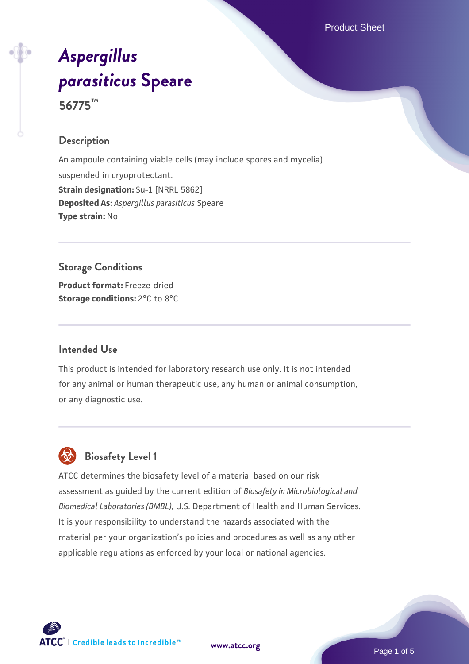Product Sheet

# *[Aspergillus](https://www.atcc.org/products/56775) [parasiticus](https://www.atcc.org/products/56775)* **[Speare](https://www.atcc.org/products/56775) 56775™**

#### **Description**

An ampoule containing viable cells (may include spores and mycelia) suspended in cryoprotectant. **Strain designation: Su-1 [NRRL 5862] Deposited As:** *Aspergillus parasiticus* Speare **Type strain:** No

### **Storage Conditions**

**Product format:** Freeze-dried **Storage conditions:** 2°C to 8°C

#### **Intended Use**

This product is intended for laboratory research use only. It is not intended for any animal or human therapeutic use, any human or animal consumption, or any diagnostic use.

## **Biosafety Level 1**

ATCC determines the biosafety level of a material based on our risk assessment as guided by the current edition of *Biosafety in Microbiological and Biomedical Laboratories (BMBL)*, U.S. Department of Health and Human Services. It is your responsibility to understand the hazards associated with the material per your organization's policies and procedures as well as any other applicable regulations as enforced by your local or national agencies.



**[www.atcc.org](http://www.atcc.org)**

Page 1 of 5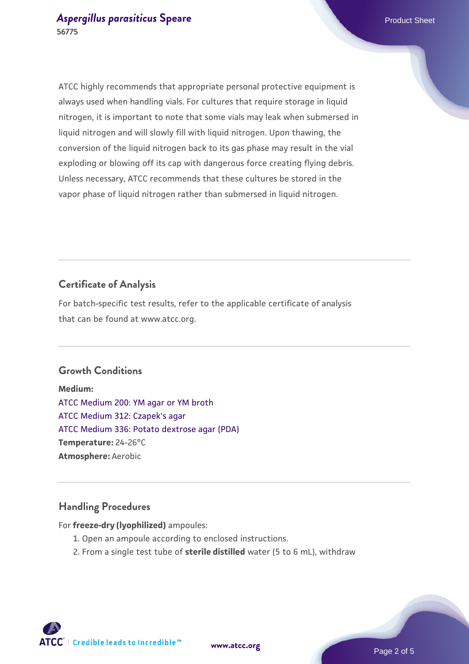ATCC highly recommends that appropriate personal protective equipment is always used when handling vials. For cultures that require storage in liquid nitrogen, it is important to note that some vials may leak when submersed in liquid nitrogen and will slowly fill with liquid nitrogen. Upon thawing, the conversion of the liquid nitrogen back to its gas phase may result in the vial exploding or blowing off its cap with dangerous force creating flying debris. Unless necessary, ATCC recommends that these cultures be stored in the vapor phase of liquid nitrogen rather than submersed in liquid nitrogen.

#### **Certificate of Analysis**

For batch-specific test results, refer to the applicable certificate of analysis that can be found at www.atcc.org.

#### **Growth Conditions**

**Medium:**  [ATCC Medium 200: YM agar or YM broth](https://www.atcc.org/-/media/product-assets/documents/microbial-media-formulations/2/0/0/atcc-medium-200.pdf?rev=ac40fd74dc13433a809367b0b9da30fc) [ATCC Medium 312: Czapek's agar](https://www.atcc.org/-/media/product-assets/documents/microbial-media-formulations/3/1/2/atcc-medium-312.pdf?rev=4992717cc7f64a9dadaeb35a339cb643) [ATCC Medium 336: Potato dextrose agar \(PDA\)](https://www.atcc.org/-/media/product-assets/documents/microbial-media-formulations/3/3/6/atcc-medium-336.pdf?rev=d9160ad44d934cd8b65175461abbf3b9) **Temperature:** 24-26°C **Atmosphere:** Aerobic

#### **Handling Procedures**

For **freeze-dry (lyophilized)** ampoules:

- 1. Open an ampoule according to enclosed instructions.
- 2. From a single test tube of **sterile distilled** water (5 to 6 mL), withdraw

**ATCC** | Credible leads to Incredible™

**[www.atcc.org](http://www.atcc.org)**

Page 2 of 5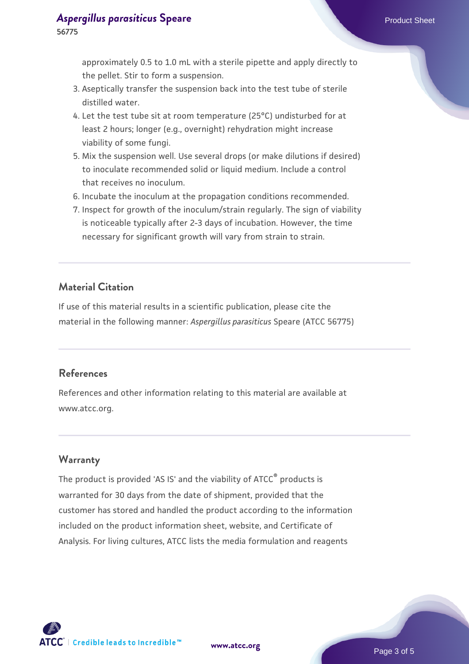approximately 0.5 to 1.0 mL with a sterile pipette and apply directly to the pellet. Stir to form a suspension.

- 3. Aseptically transfer the suspension back into the test tube of sterile distilled water.
- 4. Let the test tube sit at room temperature (25°C) undisturbed for at least 2 hours; longer (e.g., overnight) rehydration might increase viability of some fungi.
- Mix the suspension well. Use several drops (or make dilutions if desired) 5. to inoculate recommended solid or liquid medium. Include a control that receives no inoculum.
- 6. Incubate the inoculum at the propagation conditions recommended.
- 7. Inspect for growth of the inoculum/strain regularly. The sign of viability is noticeable typically after 2-3 days of incubation. However, the time necessary for significant growth will vary from strain to strain.

#### **Material Citation**

If use of this material results in a scientific publication, please cite the material in the following manner: *Aspergillus parasiticus* Speare (ATCC 56775)

#### **References**

References and other information relating to this material are available at www.atcc.org.

#### **Warranty**

The product is provided 'AS IS' and the viability of ATCC<sup>®</sup> products is warranted for 30 days from the date of shipment, provided that the customer has stored and handled the product according to the information included on the product information sheet, website, and Certificate of Analysis. For living cultures, ATCC lists the media formulation and reagents



**[www.atcc.org](http://www.atcc.org)**

Page 3 of 5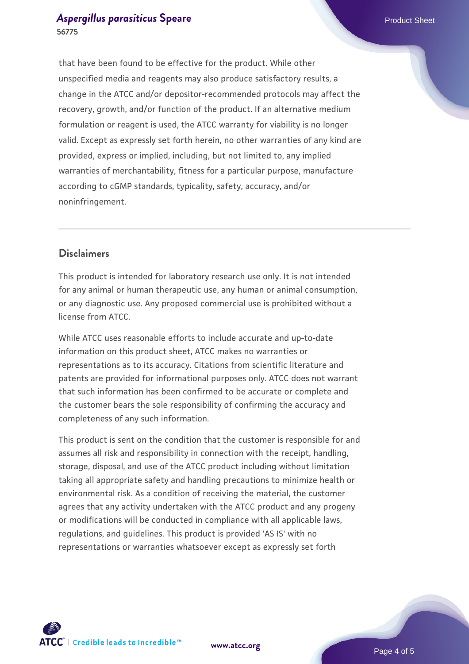that have been found to be effective for the product. While other unspecified media and reagents may also produce satisfactory results, a change in the ATCC and/or depositor-recommended protocols may affect the recovery, growth, and/or function of the product. If an alternative medium formulation or reagent is used, the ATCC warranty for viability is no longer valid. Except as expressly set forth herein, no other warranties of any kind are provided, express or implied, including, but not limited to, any implied warranties of merchantability, fitness for a particular purpose, manufacture according to cGMP standards, typicality, safety, accuracy, and/or noninfringement.

#### **Disclaimers**

This product is intended for laboratory research use only. It is not intended for any animal or human therapeutic use, any human or animal consumption, or any diagnostic use. Any proposed commercial use is prohibited without a license from ATCC.

While ATCC uses reasonable efforts to include accurate and up-to-date information on this product sheet, ATCC makes no warranties or representations as to its accuracy. Citations from scientific literature and patents are provided for informational purposes only. ATCC does not warrant that such information has been confirmed to be accurate or complete and the customer bears the sole responsibility of confirming the accuracy and completeness of any such information.

This product is sent on the condition that the customer is responsible for and assumes all risk and responsibility in connection with the receipt, handling, storage, disposal, and use of the ATCC product including without limitation taking all appropriate safety and handling precautions to minimize health or environmental risk. As a condition of receiving the material, the customer agrees that any activity undertaken with the ATCC product and any progeny or modifications will be conducted in compliance with all applicable laws, regulations, and guidelines. This product is provided 'AS IS' with no representations or warranties whatsoever except as expressly set forth